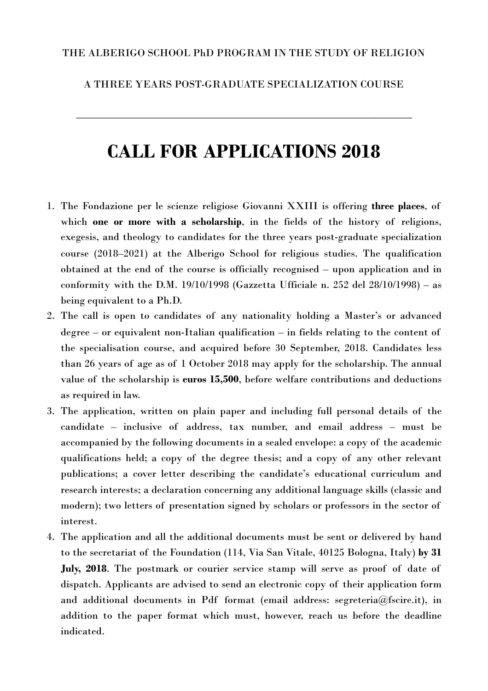## THE ALBERIGO SCHOOL PhD PROGRAM IN THE STUDY OF RELIGION

## A THREE YEARS POST-GRADUATE SPECIALIZATION COURSE

**\_\_\_\_\_\_\_\_\_\_\_\_\_\_\_\_\_\_\_\_\_\_\_\_\_\_\_\_\_\_\_\_\_\_\_\_\_\_\_\_\_\_\_\_\_\_\_\_\_\_\_\_\_\_\_\_\_\_\_\_\_\_\_**

# **CALL FOR APPLICATIONS 2018**

- 1. The Fondazione per le scienze religiose Giovanni XXIII is offering **three places**, of which **one or more with a scholarship**, in the fields of the history of religions, exegesis, and theology to candidates for the three years post-graduate specialization course (2018–2021) at the Alberigo School for religious studies. The qualification obtained at the end of the course is officially recognised – upon application and in conformity with the D.M. 19/10/1998 (Gazzetta Ufficiale n. 252 del 28/10/1998) – as being equivalent to a Ph.D.
- 2. The call is open to candidates of any nationality holding a Master's or advanced degree – or equivalent non-Italian qualification – in fields relating to the content of the specialisation course, and acquired before 30 September, 2018. Candidates less than 26 years of age as of 1 October 2018 may apply for the scholarship. The annual value of the scholarship is **euros 15,500**, before welfare contributions and deductions as required in law.
- 3. The application, written on plain paper and including full personal details of the candidate – inclusive of address, tax number, and email address – must be accompanied by the following documents in a sealed envelope: a copy of the academic qualifications held; a copy of the degree thesis; and a copy of any other relevant publications; a cover letter describing the candidate's educational curriculum and research interests; a declaration concerning any additional language skills (classic and modern); two letters of presentation signed by scholars or professors in the sector of interest.
- 4. The application and all the additional documents must be sent or delivered by hand to the secretariat of the Foundation (114, Via San Vitale, 40125 Bologna, Italy) **by 31 July, 2018**. The postmark or courier service stamp will serve as proof of date of dispatch. Applicants are advised to send an electronic copy of their application form and additional documents in Pdf format (email address: [segreteria@fscire.it](mailto:segreteria@fscire.it)), in addition to the paper format which must, however, reach us before the deadline indicated.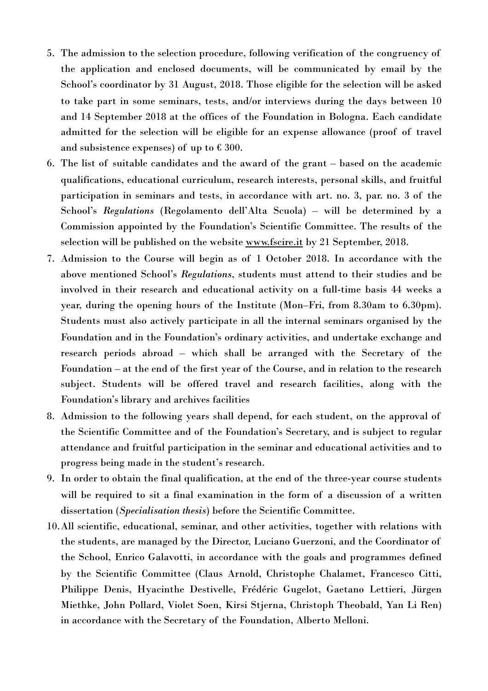- 5. The admission to the selection procedure, following verification of the congruency of the application and enclosed documents, will be communicated by email by the School's coordinator by 31 August, 2018. Those eligible for the selection will be asked to take part in some seminars, tests, and/or interviews during the days between 10 and 14 September 2018 at the offices of the Foundation in Bologna. Each candidate admitted for the selection will be eligible for an expense allowance (proof of travel and subsistence expenses) of up to  $\epsilon$  300.
- 6. The list of suitable candidates and the award of the grant based on the academic qualifications, educational curriculum, research interests, personal skills, and fruitful participation in seminars and tests, in accordance with art. no. 3, par. no. 3 of the School's *Regulations* (Regolamento dell'Alta Scuola) – will be determined by a Commission appointed by the Foundation's Scientific Committee. The results of the selection will be published on the website [www.fscire.it](http://www.fscire.it) by 21 September, 2018.
- 7. Admission to the Course will begin as of 1 October 2018. In accordance with the above mentioned School's *Regulations*, students must attend to their studies and be involved in their research and educational activity on a full-time basis 44 weeks a year, during the opening hours of the Institute (Mon–Fri, from 8.30am to 6.30pm). Students must also actively participate in all the internal seminars organised by the Foundation and in the Foundation's ordinary activities, and undertake exchange and research periods abroad – which shall be arranged with the Secretary of the Foundation – at the end of the first year of the Course, and in relation to the research subject. Students will be offered travel and research facilities, along with the Foundation's library and archives facilities
- 8. Admission to the following years shall depend, for each student, on the approval of the Scientific Committee and of the Foundation's Secretary, and is subject to regular attendance and fruitful participation in the seminar and educational activities and to progress being made in the student's research.
- 9. In order to obtain the final qualification, at the end of the three-year course students will be required to sit a final examination in the form of a discussion of a written dissertation (*Specialisation thesis*) before the Scientific Committee.
- 10.All scientific, educational, seminar, and other activities, together with relations with the students, are managed by the Director, Luciano Guerzoni, and the Coordinator of the School, Enrico Galavotti, in accordance with the goals and programmes defined by the Scientific Committee (Claus Arnold, Christophe Chalamet, Francesco Citti, Philippe Denis, Hyacinthe Destivelle, Frédéric Gugelot, Gaetano Lettieri, Jürgen Miethke, John Pollard, Violet Soen, Kirsi Stjerna, Christoph Theobald, Yan Li Ren) in accordance with the Secretary of the Foundation, Alberto Melloni.